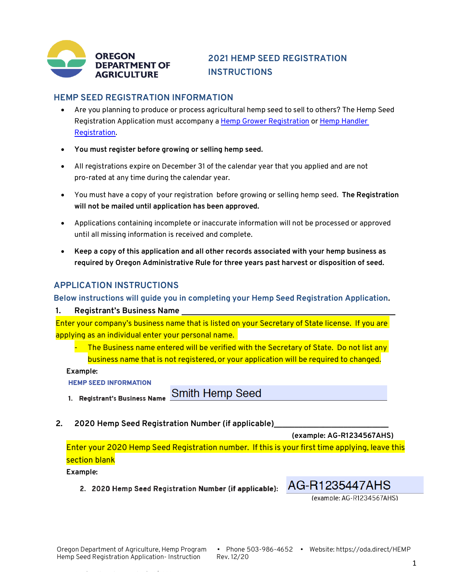

# **2021 HEMP SEED REGISTRATION INSTRUCTIONS**

### **HEMP SEED REGISTRATION INFORMATION**

- Are you planning to produce or process agricultural hemp seed to sell to others? The Hemp Seed Registration Application must accompany a Hemp Grower Registration or Hemp Handler Registration.
- **You must register before growing or selling hemp seed.**
- All registrations expire on December 31 of the calendar year that you applied and are not pro-rated at any time during the calendar year.
- You must have a copy of your registration before growing or selling hemp seed. **The Registration will not be mailed until application has been approved.**
- Applications containing incomplete or inaccurate information will not be processed or approved until all missing information is received and complete.
- **Keep a copy of this application and all other records associated with your hemp business as required by Oregon Administrative Rule for three years past harvest or disposition of seed.**

### **APPLICATION INSTRUCTIONS**

**Below instructions will guide you in completing your Hemp Seed Registration Application.**

#### **1. Registrant's Business Name**

Enter your company's business name that is listed on your Secretary of State license. If you are applying as an individual enter your personal name.

- The Business name entered will be verified with the Secretary of State. Do not list any business name that is not registered, or your application will be required to changed.

#### **Example:**

**HEMP SEED INFORMATION** 

1. Registrant's Business Name Smith Hemp Seed

**2. 2020 Hemp Seed Registration Number (if applicable)\_\_\_\_\_\_\_\_\_\_\_\_\_\_\_\_\_\_\_\_\_\_\_\_\_\_\_\_**

 **(example: AG-R1234567AHS)**

Enter your 2020 Hemp Seed Registration number. If this is your first time applying, leave this section blank

**Example:**

2. 2020 Hemp Seed Registration Number (if applicable):

AG-R1235447AHS

(example: AG-R1234567AHS)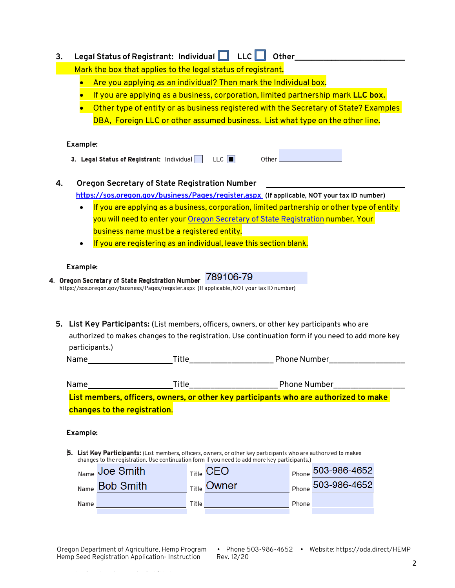| 3.                                                                                                               |                                                                                      | Legal Status of Registrant: Individual   LLC   Other                                               |       |                               |       |                                                                                      |  |  |
|------------------------------------------------------------------------------------------------------------------|--------------------------------------------------------------------------------------|----------------------------------------------------------------------------------------------------|-------|-------------------------------|-------|--------------------------------------------------------------------------------------|--|--|
|                                                                                                                  | Mark the box that applies to the legal status of registrant.                         |                                                                                                    |       |                               |       |                                                                                      |  |  |
|                                                                                                                  | Are you applying as an individual? Then mark the Individual box.                     |                                                                                                    |       |                               |       |                                                                                      |  |  |
|                                                                                                                  | If you are applying as a business, corporation, limited partnership mark LLC box.    |                                                                                                    |       |                               |       |                                                                                      |  |  |
|                                                                                                                  |                                                                                      |                                                                                                    |       |                               |       | Other type of entity or as business registered with the Secretary of State? Examples |  |  |
|                                                                                                                  | DBA, Foreign LLC or other assumed business. List what type on the other line.        |                                                                                                    |       |                               |       |                                                                                      |  |  |
|                                                                                                                  | Example:                                                                             |                                                                                                    |       |                               |       |                                                                                      |  |  |
|                                                                                                                  |                                                                                      | 3. Legal Status of Registrant: Individual   LLC                                                    |       | Other <u>Communication</u>    |       |                                                                                      |  |  |
|                                                                                                                  |                                                                                      |                                                                                                    |       |                               |       |                                                                                      |  |  |
| 4.                                                                                                               |                                                                                      | Oregon Secretary of State Registration Number                                                      |       |                               |       |                                                                                      |  |  |
|                                                                                                                  |                                                                                      | https://sos.oregon.gov/business/Pages/register.aspx (If applicable, NOT your tax ID number)        |       |                               |       |                                                                                      |  |  |
|                                                                                                                  |                                                                                      | If you are applying as a business, corporation, limited partnership or other type of entity        |       |                               |       |                                                                                      |  |  |
|                                                                                                                  |                                                                                      | you will need to enter your Oregon Secretary of State Registration number. Your                    |       |                               |       |                                                                                      |  |  |
|                                                                                                                  |                                                                                      | business name must be a registered entity.                                                         |       |                               |       |                                                                                      |  |  |
|                                                                                                                  |                                                                                      | If you are registering as an individual, leave this section blank.                                 |       |                               |       |                                                                                      |  |  |
|                                                                                                                  |                                                                                      |                                                                                                    |       |                               |       |                                                                                      |  |  |
|                                                                                                                  | Example:                                                                             |                                                                                                    |       |                               |       |                                                                                      |  |  |
|                                                                                                                  |                                                                                      | 4. Oregon Secretary of State Registration Number                                                   |       | 789106-79                     |       |                                                                                      |  |  |
|                                                                                                                  |                                                                                      | https://sos.oregon.gov/business/Pages/register.aspx (If applicable, NOT your tax ID number)        |       |                               |       |                                                                                      |  |  |
|                                                                                                                  |                                                                                      |                                                                                                    |       |                               |       |                                                                                      |  |  |
|                                                                                                                  |                                                                                      | 5. List Key Participants: (List members, officers, owners, or other key participants who are       |       |                               |       |                                                                                      |  |  |
|                                                                                                                  |                                                                                      | authorized to makes changes to the registration. Use continuation form if you need to add more key |       |                               |       |                                                                                      |  |  |
|                                                                                                                  | participants.)                                                                       |                                                                                                    |       |                               |       |                                                                                      |  |  |
|                                                                                                                  | Name                                                                                 | Title                                                                                              |       | <b>Example 2 Phone Number</b> |       |                                                                                      |  |  |
|                                                                                                                  |                                                                                      |                                                                                                    |       |                               |       |                                                                                      |  |  |
|                                                                                                                  | Name                                                                                 | Title                                                                                              |       |                               |       | Phone Number                                                                         |  |  |
|                                                                                                                  | List members, officers, owners, or other key participants who are authorized to make |                                                                                                    |       |                               |       |                                                                                      |  |  |
|                                                                                                                  | changes to the registration.                                                         |                                                                                                    |       |                               |       |                                                                                      |  |  |
|                                                                                                                  |                                                                                      |                                                                                                    |       |                               |       |                                                                                      |  |  |
|                                                                                                                  | Example:                                                                             |                                                                                                    |       |                               |       |                                                                                      |  |  |
| 5. List Key Participants: (List members, officers, owners, or other key participants who are authorized to makes |                                                                                      |                                                                                                    |       |                               |       |                                                                                      |  |  |
| changes to the registration. Use continuation form if you need to add more key participants.)                    |                                                                                      |                                                                                                    |       |                               |       |                                                                                      |  |  |
|                                                                                                                  |                                                                                      | <sub>Name</sub> Joe Smith                                                                          | Title | CEO                           |       | Phone 503-986-4652                                                                   |  |  |
|                                                                                                                  |                                                                                      | Name Bob Smith                                                                                     | Title | Owner                         | Phone | 503-986-4652                                                                         |  |  |
|                                                                                                                  | Name                                                                                 |                                                                                                    | Title |                               | Phone |                                                                                      |  |  |
|                                                                                                                  |                                                                                      |                                                                                                    |       |                               |       |                                                                                      |  |  |
|                                                                                                                  |                                                                                      |                                                                                                    |       |                               |       |                                                                                      |  |  |

Oregon Department of Agriculture, Hemp Program • Phone 503-986-4652 • Website: https://oda.direct/HEMP Hemp Seed Registration Application- Instruction Rev. 12/20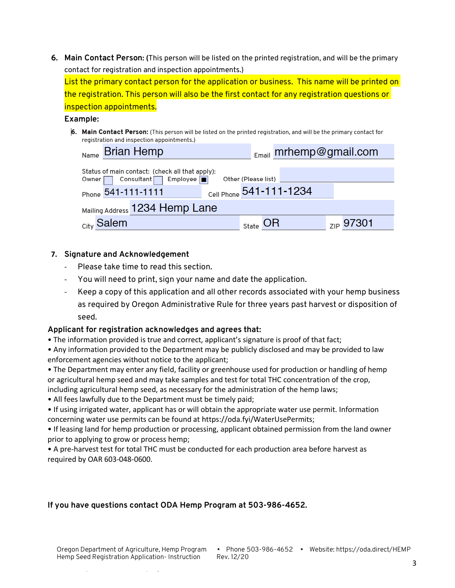**6. Main Contact Person: (**This person will be listed on the printed registration, and will be the primary contact for registration and inspection appointments.)

List the primary contact person for the application or business. This name will be printed on the registration. This person will also be the first contact for any registration questions or inspection appointments.

#### **Example:**

6. Main Contact Person: (This person will be listed on the printed registration, and will be the primary contact for registration and inspection appointments.)

|                                                                                                     | <sub>Name</sub> Brian Hemp |                                | $_{E_{\text{mail}}}$ mrhemp@gmail.com |  |                |  |
|-----------------------------------------------------------------------------------------------------|----------------------------|--------------------------------|---------------------------------------|--|----------------|--|
| Status of main contact: (check all that apply):<br>Owner Consultant Employee<br>Other (Please list) |                            |                                |                                       |  |                |  |
|                                                                                                     | Phone 541-111-1111         |                                | Cell Phone 541-111-1234               |  |                |  |
| Mailing Address 1234 Hemp Lane                                                                      |                            |                                |                                       |  |                |  |
|                                                                                                     | <sub>City</sub> Salem      | $\mathbb{R}_{\text{state}}$ OR |                                       |  | $_{ZIP}$ 97301 |  |

#### **7. Signature and Acknowledgement**

- Please take time to read this section.
- You will need to print, sign your name and date the application.
- Keep a copy of this application and all other records associated with your hemp business as required by Oregon Administrative Rule for three years past harvest or disposition of seed.

#### **Applicant for registration acknowledges and agrees that:**

- The information provided is true and correct, applicant's signature is proof of that fact;
- Any information provided to the Department may be publicly disclosed and may be provided to law enforcement agencies without notice to the applicant;
- The Department may enter any field, facility or greenhouse used for production or handling of hemp or agricultural hemp seed and may take samples and test for total THC concentration of the crop, including agricultural hemp seed, as necessary for the administration of the hemp laws;
- All fees lawfully due to the Department must be timely paid;
- If using irrigated water, applicant has or will obtain the appropriate water use permit. Information concerning water use permits can be found at https://oda.fyi/WaterUsePermits;
- If leasing land for hemp production or processing, applicant obtained permission from the land owner prior to applying to grow or process hemp;
- A pre-harvest test for total THC must be conducted for each production area before harvest as required by OAR 603-048-0600.

### **If you have questions contact ODA Hemp Program at 503-986-4652.**